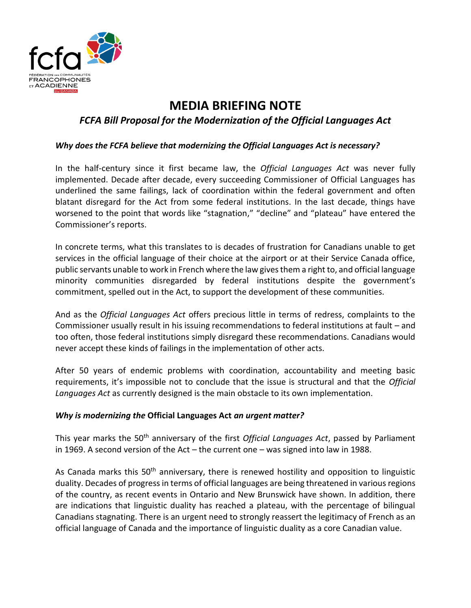

# **MEDIA BRIEFING NOTE**

# *FCFA Bill Proposal for the Modernization of the Official Languages Act*

#### *Why does the FCFA believe that modernizing the Official Languages Act is necessary?*

In the half-century since it first became law, the *Official Languages Act* was never fully implemented. Decade after decade, every succeeding Commissioner of Official Languages has underlined the same failings, lack of coordination within the federal government and often blatant disregard for the Act from some federal institutions. In the last decade, things have worsened to the point that words like "stagnation," "decline" and "plateau" have entered the Commissioner's reports.

In concrete terms, what this translates to is decades of frustration for Canadians unable to get services in the official language of their choice at the airport or at their Service Canada office, public servants unable to work in French where the law gives them a right to, and official language minority communities disregarded by federal institutions despite the government's commitment, spelled out in the Act, to support the development of these communities.

And as the *Official Languages Act* offers precious little in terms of redress, complaints to the Commissioner usually result in his issuing recommendations to federal institutions at fault – and too often, those federal institutions simply disregard these recommendations. Canadians would never accept these kinds of failings in the implementation of other acts.

After 50 years of endemic problems with coordination, accountability and meeting basic requirements, it's impossible not to conclude that the issue is structural and that the *Official Languages Act* as currently designed is the main obstacle to its own implementation.

#### *Why is modernizing the* **Official Languages Act** *an urgent matter?*

This year marks the 50th anniversary of the first *Official Languages Act*, passed by Parliament in 1969. A second version of the Act – the current one – was signed into law in 1988.

As Canada marks this 50<sup>th</sup> anniversary, there is renewed hostility and opposition to linguistic duality. Decades of progress in terms of official languages are being threatened in various regions of the country, as recent events in Ontario and New Brunswick have shown. In addition, there are indications that linguistic duality has reached a plateau, with the percentage of bilingual Canadians stagnating. There is an urgent need to strongly reassert the legitimacy of French as an official language of Canada and the importance of linguistic duality as a core Canadian value.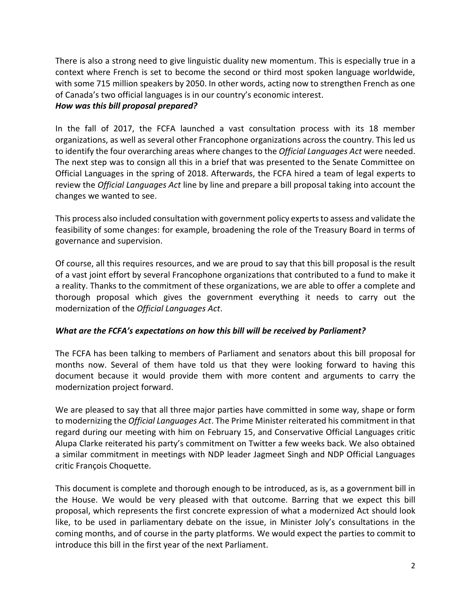There is also a strong need to give linguistic duality new momentum. This is especially true in a context where French is set to become the second or third most spoken language worldwide, with some 715 million speakers by 2050. In other words, acting now to strengthen French as one of Canada's two official languages is in our country's economic interest. *How was this bill proposal prepared?*

## In the fall of 2017, the FCFA launched a vast consultation process with its 18 member organizations, as well as several other Francophone organizations across the country. This led us to identify the four overarching areas where changes to the *Official Languages Act* were needed. The next step was to consign all this in a brief that was presented to the Senate Committee on Official Languages in the spring of 2018. Afterwards, the FCFA hired a team of legal experts to review the *Official Languages Act* line by line and prepare a bill proposal taking into account the changes we wanted to see.

This process also included consultation with government policy experts to assess and validate the feasibility of some changes: for example, broadening the role of the Treasury Board in terms of governance and supervision.

Of course, all this requires resources, and we are proud to say that this bill proposal is the result of a vast joint effort by several Francophone organizations that contributed to a fund to make it a reality. Thanks to the commitment of these organizations, we are able to offer a complete and thorough proposal which gives the government everything it needs to carry out the modernization of the *Official Languages Act*.

### *What are the FCFA's expectations on how this bill will be received by Parliament?*

The FCFA has been talking to members of Parliament and senators about this bill proposal for months now. Several of them have told us that they were looking forward to having this document because it would provide them with more content and arguments to carry the modernization project forward.

We are pleased to say that all three major parties have committed in some way, shape or form to modernizing the *Official Languages Act*. The Prime Minister reiterated his commitment in that regard during our meeting with him on February 15, and Conservative Official Languages critic Alupa Clarke reiterated his party's commitment on Twitter a few weeks back. We also obtained a similar commitment in meetings with NDP leader Jagmeet Singh and NDP Official Languages critic François Choquette.

This document is complete and thorough enough to be introduced, as is, as a government bill in the House. We would be very pleased with that outcome. Barring that we expect this bill proposal, which represents the first concrete expression of what a modernized Act should look like, to be used in parliamentary debate on the issue, in Minister Joly's consultations in the coming months, and of course in the party platforms. We would expect the parties to commit to introduce this bill in the first year of the next Parliament.